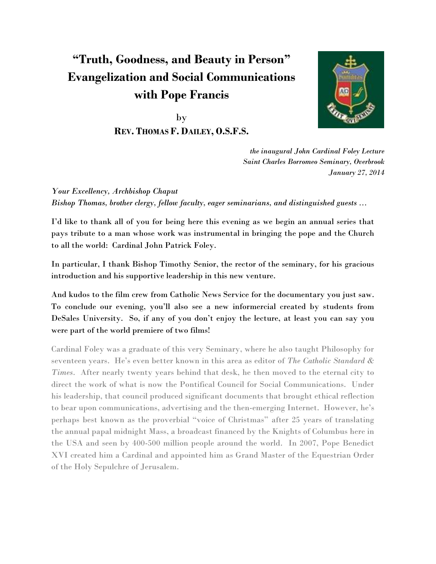# **"Truth, Goodness, and Beauty in Person" Evangelization and Social Communications with Pope Francis**

by **REV. THOMAS F. DAILEY, O.S.F.S.**



*the inaugural John Cardinal Foley Lecture Saint Charles Borromeo Seminary, Overbrook January 27, 2014*

*Your Excellency, Archbishop Chaput Bishop Thomas, brother clergy, fellow faculty, eager seminarians, and distinguished guests ...*

I'd like to thank all of you for being here this evening as we begin an annual series that pays tribute to a man whose work was instrumental in bringing the pope and the Church to all the world: Cardinal John Patrick Foley.

In particular, I thank Bishop Timothy Senior, the rector of the seminary, for his gracious introduction and his supportive leadership in this new venture.

And kudos to the film crew from Catholic News Service for the documentary you just saw. To conclude our evening, you'll also see a new informercial created by students from DeSales University. So, if any of you don't enjoy the lecture, at least you can say you were part of the world premiere of two films!

Cardinal Foley was a graduate of this very Seminary, where he also taught Philosophy for seventeen years. He's even better known in this area as editor of *The Catholic Standard & Times*. After nearly twenty years behind that desk, he then moved to the eternal city to direct the work of what is now the Pontifical Council for Social Communications. Under his leadership, that council produced significant documents that brought ethical reflection to bear upon communications, advertising and the then-emerging Internet. However, he's perhaps best known as the proverbial "voice of Christmas" after 25 years of translating the annual papal midnight Mass, a broadcast financed by the Knights of Columbus here in the USA and seen by 400-500 million people around the world. In 2007, Pope Benedict XVI created him a Cardinal and appointed him as Grand Master of the Equestrian Order of the Holy Sepulchre of Jerusalem.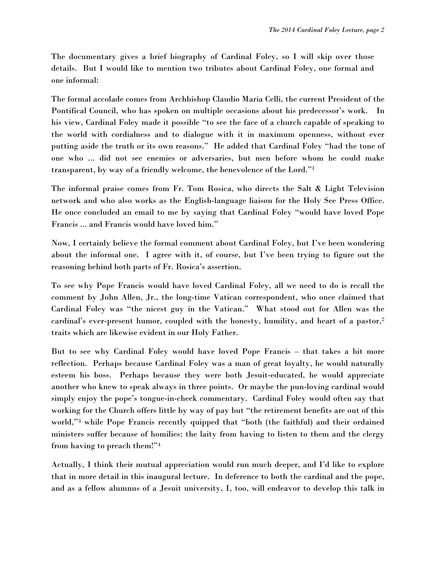The documentary gives a brief biography of Cardinal Foley, so I will skip over those details. But I would like to mention two tributes about Cardinal Foley, one formal and one informal:

The formal accolade comes from Archbishop Claudio Maria Celli, the current President of the Pontifical Council, who has spoken on multiple occasions about his predecessor's work. In his view, Cardinal Foley made it possible "to see the face of a church capable of speaking to the world with cordialness and to dialogue with it in maximum openness, without ever putting aside the truth or its own reasons." He added that Cardinal Foley "had the tone of one who ... did not see enemies or adversaries, but men before whom he could make transparent, by way of a friendly welcome, the benevolence of the Lord."<sup>1</sup>

The informal praise comes from Fr. Tom Rosica, who directs the Salt & Light Television network and who also works as the English-language liaison for the Holy See Press Office. He once concluded an email to me by saying that Cardinal Foley "would have loved Pope Francis ... and Francis would have loved him."

Now, I certainly believe the formal comment about Cardinal Foley, but I've been wondering about the informal one. I agree with it, of course, but I've been trying to figure out the reasoning behind both parts of Fr. Rosica's assertion.

To see why Pope Francis would have loved Cardinal Foley, all we need to do is recall the comment by John Allen, Jr., the long-time Vatican correspondent, who once claimed that Cardinal Foley was "the nicest guy in the Vatican." What stood out for Allen was the cardinal's ever-present humor, coupled with the honesty, humility, and heart of a pastor,<sup>2</sup> traits which are likewise evident in our Holy Father.

But to see why Cardinal Foley would have loved Pope Francis – that takes a bit more reflection. Perhaps because Cardinal Foley was a man of great loyalty, he would naturally esteem his boss. Perhaps because they were both Jesuit-educated, he would appreciate another who knew to speak always in three points. Or maybe the pun-loving cardinal would simply enjoy the pope's tongue-in-cheek commentary. Cardinal Foley would often say that working for the Church offers little by way of pay but "the retirement benefits are out of this world,"<sup>3</sup> while Pope Francis recently quipped that "both (the faithful) and their ordained ministers suffer because of homilies: the laity from having to listen to them and the clergy from having to preach them!"<sup>4</sup>

Actually, I think their mutual appreciation would run much deeper, and I'd like to explore that in more detail in this inaugural lecture. In deference to both the cardinal and the pope, and as a fellow alumnus of a Jesuit university, I, too, will endeavor to develop this talk in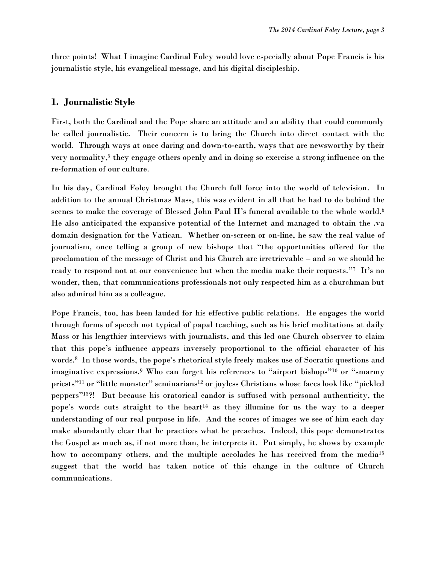three points! What I imagine Cardinal Foley would love especially about Pope Francis is his journalistic style, his evangelical message, and his digital discipleship.

### **1. Journalistic Style**

First, both the Cardinal and the Pope share an attitude and an ability that could commonly be called journalistic. Their concern is to bring the Church into direct contact with the world. Through ways at once daring and down-to-earth, ways that are newsworthy by their very normality,<sup>5</sup> they engage others openly and in doing so exercise a strong influence on the re-formation of our culture.

In his day, Cardinal Foley brought the Church full force into the world of television. In addition to the annual Christmas Mass, this was evident in all that he had to do behind the scenes to make the coverage of Blessed John Paul II's funeral available to the whole world.<sup>6</sup> He also anticipated the expansive potential of the Internet and managed to obtain the .va domain designation for the Vatican. Whether on-screen or on-line, he saw the real value of journalism, once telling a group of new bishops that "the opportunities offered for the proclamation of the message of Christ and his Church are irretrievable – and so we should be ready to respond not at our convenience but when the media make their requests."7 It's no wonder, then, that communications professionals not only respected him as a churchman but also admired him as a colleague.

Pope Francis, too, has been lauded for his effective public relations. He engages the world through forms of speech not typical of papal teaching, such as his brief meditations at daily Mass or his lengthier interviews with journalists, and this led one Church observer to claim that this pope's influence appears inversely proportional to the official character of his words.<sup>8</sup> In those words, the pope's rhetorical style freely makes use of Socratic questions and imaginative expressions. <sup>9</sup> Who can forget his references to "airport bishops"<sup>10</sup> or "smarmy priests"<sup>11</sup> or "little monster" seminarians<sup>12</sup> or joyless Christians whose faces look like "pickled peppers"13?! But because his oratorical candor is suffused with personal authenticity, the pope's words cuts straight to the heart<sup>14</sup> as they illumine for us the way to a deeper understanding of our real purpose in life. And the scores of images we see of him each day make abundantly clear that he practices what he preaches. Indeed, this pope demonstrates the Gospel as much as, if not more than, he interprets it. Put simply, he shows by example how to accompany others, and the multiple accolades he has received from the media<sup>15</sup> suggest that the world has taken notice of this change in the culture of Church communications.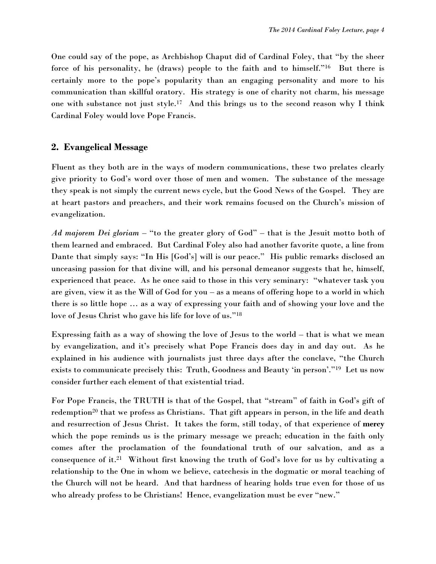One could say of the pope, as Archbishop Chaput did of Cardinal Foley, that "by the sheer force of his personality, he (draws) people to the faith and to himself."<sup>16</sup> But there is certainly more to the pope's popularity than an engaging personality and more to his communication than skillful oratory. His strategy is one of charity not charm, his message one with substance not just style.<sup>17</sup> And this brings us to the second reason why I think Cardinal Foley would love Pope Francis.

## **2. Evangelical Message**

Fluent as they both are in the ways of modern communications, these two prelates clearly give priority to God's word over those of men and women. The substance of the message they speak is not simply the current news cycle, but the Good News of the Gospel. They are at heart pastors and preachers, and their work remains focused on the Church's mission of evangelization.

*Ad majorem Dei gloriam* – "to the greater glory of God" – that is the Jesuit motto both of them learned and embraced. But Cardinal Foley also had another favorite quote, a line from Dante that simply says: "In His [God's] will is our peace." His public remarks disclosed an unceasing passion for that divine will, and his personal demeanor suggests that he, himself, experienced that peace. As he once said to those in this very seminary: "whatever task you are given, view it as the Will of God for you – as a means of offering hope to a world in which there is so little hope … as a way of expressing your faith and of showing your love and the love of Jesus Christ who gave his life for love of us."<sup>18</sup>

Expressing faith as a way of showing the love of Jesus to the world – that is what we mean by evangelization, and it's precisely what Pope Francis does day in and day out. As he explained in his audience with journalists just three days after the conclave, "the Church exists to communicate precisely this: Truth, Goodness and Beauty 'in person'."<sup>19</sup> Let us now consider further each element of that existential triad.

For Pope Francis, the TRUTH is that of the Gospel, that "stream" of faith in God's gift of redemption<sup>20</sup> that we profess as Christians. That gift appears in person, in the life and death and resurrection of Jesus Christ. It takes the form, still today, of that experience of **mercy** which the pope reminds us is the primary message we preach; education in the faith only comes after the proclamation of the foundational truth of our salvation, and as a consequence of it.<sup>21</sup> Without first knowing the truth of God's love for us by cultivating a relationship to the One in whom we believe, catechesis in the dogmatic or moral teaching of the Church will not be heard. And that hardness of hearing holds true even for those of us who already profess to be Christians! Hence, evangelization must be ever "new."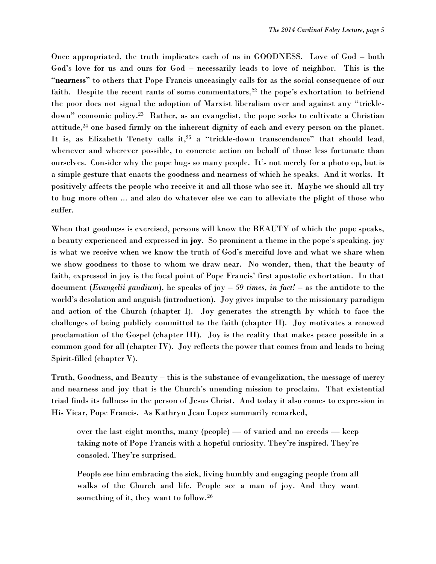Once appropriated, the truth implicates each of us in GOODNESS. Love of God – both God's love for us and ours for God – necessarily leads to love of neighbor. This is the "**nearness**" to others that Pope Francis unceasingly calls for as the social consequence of our faith. Despite the recent rants of some commentators, $22$  the pope's exhortation to befriend the poor does not signal the adoption of Marxist liberalism over and against any "trickledown" economic policy.<sup>23</sup> Rather, as an evangelist, the pope seeks to cultivate a Christian attitude,<sup>24</sup> one based firmly on the inherent dignity of each and every person on the planet. It is, as Elizabeth Tenety calls it,<sup>25</sup> a "trickle-down transcendence" that should lead, whenever and wherever possible, to concrete action on behalf of those less fortunate than ourselves. Consider why the pope hugs so many people. It's not merely for a photo op, but is a simple gesture that enacts the goodness and nearness of which he speaks. And it works. It positively affects the people who receive it and all those who see it. Maybe we should all try to hug more often ... and also do whatever else we can to alleviate the plight of those who suffer.

When that goodness is exercised, persons will know the BEAUTY of which the pope speaks, a beauty experienced and expressed in **joy**. So prominent a theme in the pope's speaking, joy is what we receive when we know the truth of God's merciful love and what we share when we show goodness to those to whom we draw near. No wonder, then, that the beauty of faith, expressed in joy is the focal point of Pope Francis' first apostolic exhortation. In that document (*Evangelii gaudium*), he speaks of joy – *59 times, in fact!* – as the antidote to the world's desolation and anguish (introduction). Joy gives impulse to the missionary paradigm and action of the Church (chapter I). Joy generates the strength by which to face the challenges of being publicly committed to the faith (chapter II). Joy motivates a renewed proclamation of the Gospel (chapter III). Joy is the reality that makes peace possible in a common good for all (chapter IV). Joy reflects the power that comes from and leads to being Spirit-filled (chapter V).

Truth, Goodness, and Beauty – this is the substance of evangelization, the message of mercy and nearness and joy that is the Church's unending mission to proclaim. That existential triad finds its fullness in the person of Jesus Christ. And today it also comes to expression in His Vicar, Pope Francis. As Kathryn Jean Lopez summarily remarked,

over the last eight months, many (people) — of varied and no creeds — keep taking note of Pope Francis with a hopeful curiosity. They're inspired. They're consoled. They're surprised.

People see him embracing the sick, living humbly and engaging people from all walks of the Church and life. People see a man of joy. And they want something of it, they want to follow.<sup>26</sup>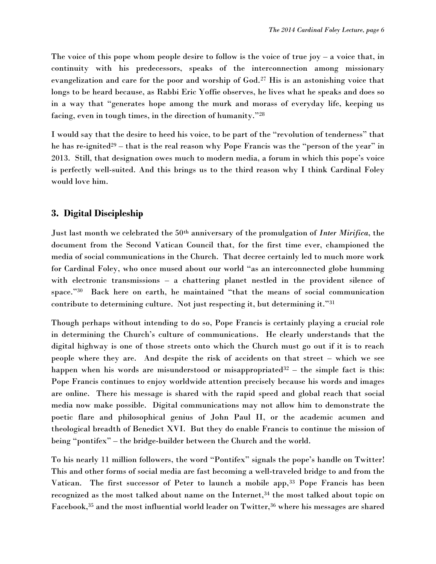The voice of this pope whom people desire to follow is the voice of true joy  $-$  a voice that, in continuity with his predecessors, speaks of the interconnection among missionary evangelization and care for the poor and worship of God.<sup>27</sup> His is an astonishing voice that longs to be heard because, as Rabbi Eric Yoffie observes, he lives what he speaks and does so in a way that "generates hope among the murk and morass of everyday life, keeping us facing, even in tough times, in the direction of humanity."<sup>28</sup>

I would say that the desire to heed his voice, to be part of the "revolution of tenderness" that he has re-ignited<sup>29</sup> – that is the real reason why Pope Francis was the "person of the year" in 2013. Still, that designation owes much to modern media, a forum in which this pope's voice is perfectly well-suited. And this brings us to the third reason why I think Cardinal Foley would love him.

#### **3. Digital Discipleship**

Just last month we celebrated the 50th anniversary of the promulgation of *Inter Mirifica*, the document from the Second Vatican Council that, for the first time ever, championed the media of social communications in the Church. That decree certainly led to much more work for Cardinal Foley, who once mused about our world "as an interconnected globe humming with electronic transmissions – a chattering planet nestled in the provident silence of space."<sup>30</sup> Back here on earth, he maintained "that the means of social communication contribute to determining culture. Not just respecting it, but determining it."<sup>31</sup>

Though perhaps without intending to do so, Pope Francis is certainly playing a crucial role in determining the Church's culture of communications. He clearly understands that the digital highway is one of those streets onto which the Church must go out if it is to reach people where they are. And despite the risk of accidents on that street – which we see happen when his words are misunderstood or misappropriated $32$  – the simple fact is this: Pope Francis continues to enjoy worldwide attention precisely because his words and images are online. There his message is shared with the rapid speed and global reach that social media now make possible. Digital communications may not allow him to demonstrate the poetic flare and philosophical genius of John Paul II, or the academic acumen and theological breadth of Benedict XVI. But they do enable Francis to continue the mission of being "pontifex" – the bridge-builder between the Church and the world.

To his nearly 11 million followers, the word "Pontifex" signals the pope's handle on Twitter! This and other forms of social media are fast becoming a well-traveled bridge to and from the Vatican. The first successor of Peter to launch a mobile app,<sup>33</sup> Pope Francis has been recognized as the most talked about name on the Internet,<sup>34</sup> the most talked about topic on Facebook,<sup>35</sup> and the most influential world leader on Twitter,<sup>36</sup> where his messages are shared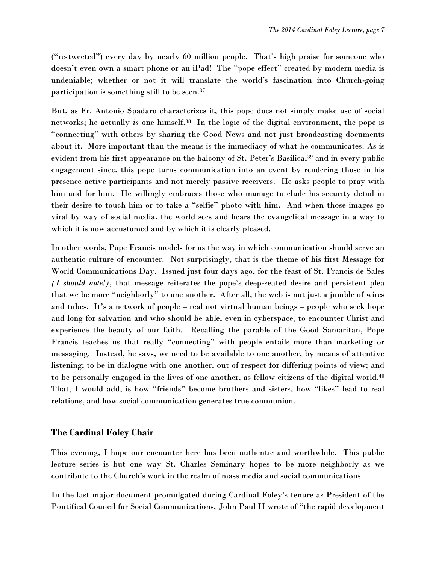("re-tweeted") every day by nearly 60 million people. That's high praise for someone who doesn't even own a smart phone or an iPad! The "pope effect" created by modern media is undeniable; whether or not it will translate the world's fascination into Church-going participation is something still to be seen.<sup>37</sup>

But, as Fr. Antonio Spadaro characterizes it, this pope does not simply make use of social networks; he actually *is* one himself.<sup>38</sup> In the logic of the digital environment, the pope is "connecting" with others by sharing the Good News and not just broadcasting documents about it. More important than the means is the immediacy of what he communicates. As is evident from his first appearance on the balcony of St. Peter's Basilica,<sup>39</sup> and in every public engagement since, this pope turns communication into an event by rendering those in his presence active participants and not merely passive receivers. He asks people to pray with him and for him. He willingly embraces those who manage to elude his security detail in their desire to touch him or to take a "selfie" photo with him. And when those images go viral by way of social media, the world sees and hears the evangelical message in a way to which it is now accustomed and by which it is clearly pleased.

In other words, Pope Francis models for us the way in which communication should serve an authentic culture of encounter. Not surprisingly, that is the theme of his first Message for World Communications Day. Issued just four days ago, for the feast of St. Francis de Sales *(I should note!),* that message reiterates the pope's deep-seated desire and persistent plea that we be more "neighborly" to one another. After all, the web is not just a jumble of wires and tubes. It's a network of people – real not virtual human beings – people who seek hope and long for salvation and who should be able, even in cyberspace, to encounter Christ and experience the beauty of our faith. Recalling the parable of the Good Samaritan, Pope Francis teaches us that really "connecting" with people entails more than marketing or messaging. Instead, he says, we need to be available to one another, by means of attentive listening; to be in dialogue with one another, out of respect for differing points of view; and to be personally engaged in the lives of one another, as fellow citizens of the digital world.<sup>40</sup> That, I would add, is how "friends" become brothers and sisters, how "likes" lead to real relations, and how social communication generates true communion.

#### **The Cardinal Foley Chair**

This evening, I hope our encounter here has been authentic and worthwhile. This public lecture series is but one way St. Charles Seminary hopes to be more neighborly as we contribute to the Church's work in the realm of mass media and social communications.

In the last major document promulgated during Cardinal Foley's tenure as President of the Pontifical Council for Social Communications, John Paul II wrote of "the rapid development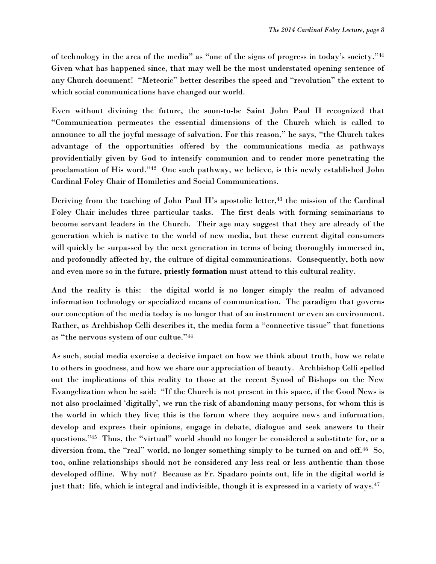of technology in the area of the media" as "one of the signs of progress in today's society."<sup>41</sup> Given what has happened since, that may well be the most understated opening sentence of any Church document! "Meteoric" better describes the speed and "revolution" the extent to which social communications have changed our world.

Even without divining the future, the soon-to-be Saint John Paul II recognized that "Communication permeates the essential dimensions of the Church which is called to announce to all the joyful message of salvation. For this reason," he says, "the Church takes advantage of the opportunities offered by the communications media as pathways providentially given by God to intensify communion and to render more penetrating the proclamation of His word."<sup>42</sup> One such pathway, we believe, is this newly established John Cardinal Foley Chair of Homiletics and Social Communications.

Deriving from the teaching of John Paul II's apostolic letter,<sup>43</sup> the mission of the Cardinal Foley Chair includes three particular tasks. The first deals with forming seminarians to become servant leaders in the Church. Their age may suggest that they are already of the generation which is native to the world of new media, but these current digital consumers will quickly be surpassed by the next generation in terms of being thoroughly immersed in, and profoundly affected by, the culture of digital communications. Consequently, both now and even more so in the future, **priestly formation** must attend to this cultural reality.

And the reality is this: the digital world is no longer simply the realm of advanced information technology or specialized means of communication. The paradigm that governs our conception of the media today is no longer that of an instrument or even an environment. Rather, as Archbishop Celli describes it, the media form a "connective tissue" that functions as "the nervous system of our cultue."<sup>44</sup>

As such, social media exercise a decisive impact on how we think about truth, how we relate to others in goodness, and how we share our appreciation of beauty. Archbishop Celli spelled out the implications of this reality to those at the recent Synod of Bishops on the New Evangelization when he said: "If the Church is not present in this space, if the Good News is not also proclaimed 'digitally', we run the risk of abandoning many persons, for whom this is the world in which they live; this is the forum where they acquire news and information, develop and express their opinions, engage in debate, dialogue and seek answers to their questions."<sup>45</sup> Thus, the "virtual" world should no longer be considered a substitute for, or a diversion from, the "real" world, no longer something simply to be turned on and off.<sup>46</sup> So, too, online relationships should not be considered any less real or less authentic than those developed offline. Why not? Because as Fr. Spadaro points out, life in the digital world is just that: life, which is integral and indivisible, though it is expressed in a variety of ways.<sup>47</sup>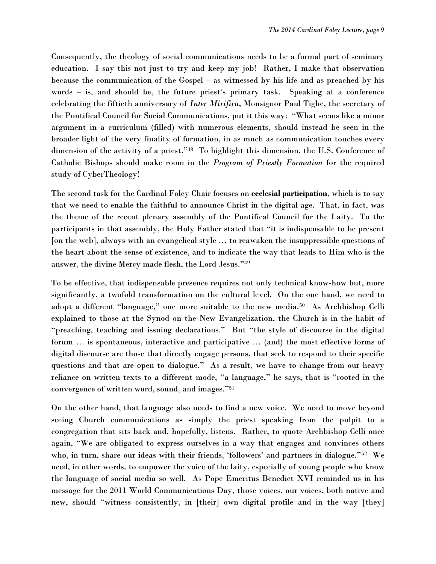Consequently, the theology of social communications needs to be a formal part of seminary education. I say this not just to try and keep my job! Rather, I make that observation because the communication of the Gospel – as witnessed by his life and as preached by his words – is, and should be, the future priest's primary task. Speaking at a conference celebrating the fiftieth anniversary of *Inter Mirifica*, Monsignor Paul Tighe, the secretary of the Pontifical Council for Social Communications, put it this way: "What seems like a minor argument in a curriculum (filled) with numerous elements, should instead be seen in the broader light of the very finality of formation, in as much as communication touches every dimension of the activity of a priest."<sup>48</sup> To highlight this dimension, the U.S. Conference of Catholic Bishops should make room in the *Program of Priestly Formation* for the required study of CyberTheology!

The second task for the Cardinal Foley Chair focuses on **ecclesial participation**, which is to say that we need to enable the faithful to announce Christ in the digital age. That, in fact, was the theme of the recent plenary assembly of the Pontifical Council for the Laity. To the participants in that assembly, the Holy Father stated that "it is indispensable to be present [on the web], always with an evangelical style … to reawaken the insuppressible questions of the heart about the sense of existence, and to indicate the way that leads to Him who is the answer, the divine Mercy made flesh, the Lord Jesus."<sup>49</sup>

To be effective, that indispensable presence requires not only technical know-how but, more significantly, a twofold transformation on the cultural level. On the one hand, we need to adopt a different "language," one more suitable to the new media.<sup>50</sup> As Archbishop Celli explained to those at the Synod on the New Evangelization, the Church is in the habit of "preaching, teaching and issuing declarations." But "the style of discourse in the digital forum … is spontaneous, interactive and participative … (and) the most effective forms of digital discourse are those that directly engage persons, that seek to respond to their specific questions and that are open to dialogue." As a result, we have to change from our heavy reliance on written texts to a different mode, "a language," he says, that is "rooted in the convergence of written word, sound, and images."<sup>51</sup>

On the other hand, that language also needs to find a new voice. We need to move beyond seeing Church communications as simply the priest speaking from the pulpit to a congregation that sits back and, hopefully, listens. Rather, to quote Archbishop Celli once again, "We are obligated to express ourselves in a way that engages and convinces others who, in turn, share our ideas with their friends, 'followers' and partners in dialogue."<sup>52</sup> We need, in other words, to empower the voice of the laity, especially of young people who know the language of social media so well. As Pope Emeritus Benedict XVI reminded us in his message for the 2011 World Communications Day, those voices, our voices, both native and new, should "witness consistently, in [their] own digital profile and in the way [they]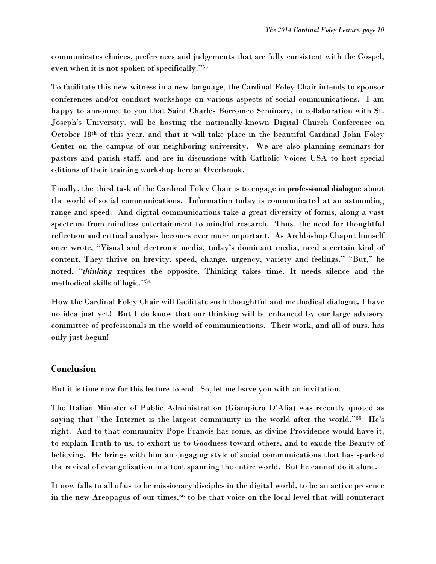communicates choices, preferences and judgements that are fully consistent with the Gospel, even when it is not spoken of specifically."<sup>53</sup>

To facilitate this new witness in a new language, the Cardinal Foley Chair intends to sponsor conferences and/or conduct workshops on various aspects of social communications. I am happy to announce to you that Saint Charles Borromeo Seminary, in collaboration with St. Joseph's University, will be hosting the nationally-known Digital Church Conference on October 18th of this year, and that it will take place in the beautiful Cardinal John Foley Center on the campus of our neighboring university. We are also planning seminars for pastors and parish staff, and are in discussions with Catholic Voices USA to host special editions of their training workshop here at Overbrook.

Finally, the third task of the Cardinal Foley Chair is to engage in **professional dialogue** about the world of social communications. Information today is communicated at an astounding range and speed. And digital communications take a great diversity of forms, along a vast spectrum from mindless entertainment to mindful research. Thus, the need for thoughtful reflection and critical analysis becomes ever more important. As Archbishop Chaput himself once wrote, "Visual and electronic media, today's dominant media, need a certain kind of content. They thrive on brevity, speed, change, urgency, variety and feelings." "But," he noted, "*thinking* requires the opposite. Thinking takes time. It needs silence and the methodical skills of logic."<sup>54</sup>

How the Cardinal Foley Chair will facilitate such thoughtful and methodical dialogue, I have no idea just yet! But I do know that our thinking will be enhanced by our large advisory committee of professionals in the world of communications*.* Their work, and all of ours, has only just begun!

## **Conclusion**

But it is time now for this lecture to end. So, let me leave you with an invitation.

The Italian Minister of Public Administration (Giampiero D'Alia) was recently quoted as saying that "the Internet is the largest community in the world after the world."<sup>55</sup> He's right. And to that community Pope Francis has come, as divine Providence would have it, to explain Truth to us, to exhort us to Goodness toward others, and to exude the Beauty of believing. He brings with him an engaging style of social communications that has sparked the revival of evangelization in a tent spanning the entire world. But he cannot do it alone.

It now falls to all of us to be missionary disciples in the digital world, to be an active presence in the new Areopagus of our times,<sup>56</sup> to be that voice on the local level that will counteract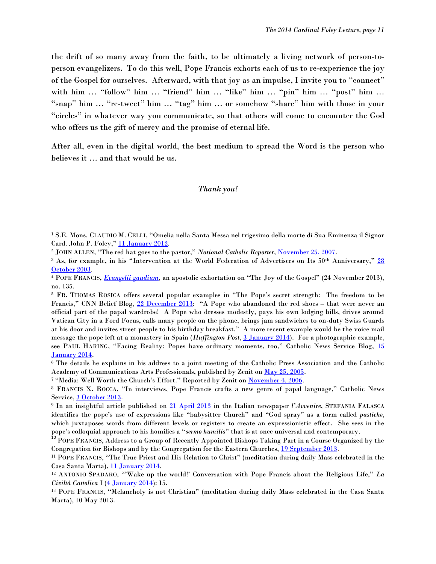the drift of so many away from the faith, to be ultimately a living network of person-toperson evangelizers. To do this well, Pope Francis exhorts each of us to re-experience the joy of the Gospel for ourselves. Afterward, with that joy as an impulse, I invite you to "connect" with him ... "follow" him ... "friend" him ... "like" him ... "pin" him ... "post" him ... "snap" him … "re-tweet" him … "tag" him … or somehow "share" him with those in your "circles" in whatever way you communicate, so that others will come to encounter the God who offers us the gift of mercy and the promise of eternal life.

After all, even in the digital world, the best medium to spread the Word is the person who believes it … and that would be us.

#### *Thank you!*

 $\overline{a}$ 

<sup>1</sup> S.E. Mons. CLAUDIO M. CELLI, "Omelia nella Santa Messa nel trigesimo della morte di Sua Eminenza il Signor Card. John P. Foley," [11 January](http://www.pccs.va/index.php/it/documenti/dicorsi/item/89-omelia-di-semons-celli-nella-messa-nel-trigesimo-della-morte-di-card-foley) 2012.

<sup>2</sup> JOHN ALLEN, "The red hat goes to the pastor," *National Catholic Reporter*, [November 25, 2007.](http://ncronline.org/blogs/all-things-catholic/red-hat-goes-pastor)

 $3$  As, for example, in his "Intervention at the World Federation of Advertisers on Its  $50<sup>th</sup>$  Anniversary,"  $28$ [October 2003.](http://www.vatican.va/roman_curia/pontifical_councils/pccs/documents/rc_pc_pccs_doc_20031028_foley-advertising_en.html)

<sup>4</sup> POPE FRANCIS, *[Evangelii gaudium](http://www.vatican.va/holy_father/francesco/apost_exhortations/documents/papa-francesco_esortazione-ap_20131124_evangelii-gaudium_en.html)*, an apostolic exhortation on "The Joy of the Gospel" (24 November 2013), no. 135.

<sup>5</sup> FR. THOMAS ROSICA offers several popular examples in "The Pope's secret strength: The freedom to be Francis," CNN Belief Blog, [22 December 2013](http://religion.blogs.cnn.com/2013/12/22/the-popes-secret-strength-the-freedom-to-be-francis/): "A Pope who abandoned the red shoes – that were never an official part of the papal wardrobe! A Pope who dresses modestly, pays his own lodging bills, drives around Vatican City in a Ford Focus, calls many people on the phone, brings jam sandwiches to on-duty Swiss Guards at his door and invites street people to his birthday breakfast." A more recent example would be the voice mail message the pope left at a monastery in Spain (*Huffington Post*, [3 January 2014\)](http://www.huffingtonpost.com/2014/01/03/pope-francis-nuns-voicemail_n_4536709.html). For a photographic example, see PAUL HARING, "Facing Reality: Popes have ordinary moments, too," Catholic News Service Blog, 15 [January 2014.](http://cnsblog.wordpress.com/2014/01/15/facing-reality-popes-have-ordinary-moments-too/)

<sup>6</sup> The details he explains in his address to a joint meeting of the Catholic Press Association and the Catholic Academy of Communications Arts Professionals, published by Zenit on [May 25, 2005.](http://www.zenit.org/en/articles/archbishop-foley-s-address-to-communicators)

<sup>7</sup> "Media: Well Worth the Church's Effort." Reported by Zenit on [November 4, 2006.](http://www.zenit.org/en/articles/archbishop-foley-s-address-to-communicators)

<sup>8</sup> FRANCIS X. ROCCA, "In interviews, Pope Francis crafts a new genre of papal language," Catholic News Service, [3 October 2013.](http://www.catholicnews.com/data/stories/cns/1304164.htm)

<sup>9</sup> In an insightful article published on [21 April 2013](http://www.avvenire.it/Commenti/Pagine/quelparlareatutti.aspx) in the Italian newspaper *l'Avvenire*, STEFANIA FALASCA identifies the pope's use of expressions like "babysitter Church" and "God spray" as a form called *pastiche*, which juxtaposes words from different levels or registers to create an expressionistic effect. She sees in the pope's colloquial approach to his homilies a "*sermo humilis*" that is at once universal and contemporary.

<sup>&</sup>lt;sup>10</sup> POPE FRANCIS, Address to a Group of Recently Appointed Bishops Taking Part in a Course Organized by the Congregation for Bishops and by the Congregation for the Eastern Churches, [19 September 2013](http://www.vatican.va/holy_father/francesco/speeches/2013/september/documents/papa-francesco_20130919_convegno-nuovi-vescovi_en.html)*.*

<sup>11</sup> POPE FRANCIS, "The True Priest and His Relation to Christ" (meditation during daily Mass celebrated in the Casa Santa Marta), [11 January 2014.](http://en.radiovaticana.va/news/2014/01/11/pope_francis:_the_true_priest_and_his_relation_to_christ/en1-763111)

<sup>12</sup> ANTONIO SPADARO, "'Wake up the world!' Conversation with Pope Francis about the Religious Life," *La Civiltà Cattolica* I [\(4 January 2014\)](http://www.laciviltacattolica.it/articoli_download/extra/Wake_up_the_world.pdf): 15.

<sup>13</sup> POPE FRANCIS, "Melancholy is not Christian" (meditation during daily Mass celebrated in the Casa Santa Marta), 10 May 2013.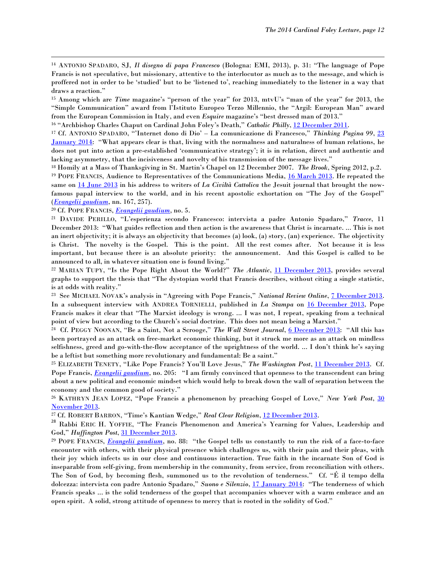<sup>14</sup> ANTONIO SPADARO, SJ, *Il disegno di papa Francesco* (Bologna: EMI, 2013), p. 31: "The language of Pope Francis is not speculative, but missionary, attentive to the interlocutor as much as to the message, and which is proffered not in order to be 'studied' but to be 'listened to', reaching immediately to the listener in a way that draws a reaction."

<sup>15</sup> Among which are *Time* magazine's "person of the year" for 2013, mtvU's "man of the year" for 2013, the "Simple Communication" award from l'Istituto Europeo Terzo Millennio, the "Argil: European Man" award from the European Commission in Italy, and even *Esquire* magazine's "best dressed man of 2013."

<sup>16</sup> "Archbishop Charles Chaput on Cardinal John Foley's Death," *Catholic Philly*, [12 December 2011.](http://catholicphilly.com/2011/12/news/local-news/local-catholic-news/archbishop-charles-chaput-on-cardinal-john-foleys-death/)

<sup>17</sup> Cf. ANTONIO SPADARO, "'Internet dono di Dio' – La comunicazione di Francesco," *Thinking Pagina 99*, [23](http://thinkingpagina99.tumblr.com/post/74298198946/internet-dono-di-dio-la-comunicazione-di-francesco)  [January 2014](http://thinkingpagina99.tumblr.com/post/74298198946/internet-dono-di-dio-la-comunicazione-di-francesco): "What appears clear is that, living with the normalness and naturalness of human relations, he does not put into action a pre-established 'communicative strategy'; it is in relation, direct and authentic and lacking asymmetry, that the incisiveness and novelty of his transmission of the message lives."

<sup>18</sup> Homily at a Mass of Thanksgiving in St. Martin's Chapel on 12 December 2007. *The Brook*, Spring 2012, p.2.

<sup>19</sup> POPE FRANCIS, Audience to Representatives of the Communications Media, [16 March 2013.](http://www.vatican.va/holy_father/francesco/speeches/2013/march/documents/papa-francesco_20130316_rappresentanti-media_en.html) He repeated the same on [14 June 2013](http://www.vatican.va/holy_father/francesco/speeches/2013/june/documents/papa-francesco_20130614_la-civilta-cattolica_en.html) in his address to writers of *La Civiltà Cattolica* the Jesuit journal that brought the nowfamous papal interview to the world, and in his recent apostolic exhortation on "The Joy of the Gospel" (*[Evangelii gaudium](http://www.vatican.va/holy_father/francesco/apost_exhortations/documents/papa-francesco_esortazione-ap_20131124_evangelii-gaudium_en.html)*, nn. 167, 257).

<sup>20</sup> Cf. POPE FRANCIS, *[Evangelii gaudium](http://www.vatican.va/holy_father/francesco/apost_exhortations/documents/papa-francesco_esortazione-ap_20131124_evangelii-gaudium_en.html)*, no. 5.

 $\overline{\phantom{a}}$ 

<sup>21</sup> DAVIDE PERILLO, "L'esperienza secondo Francesco: intervista a padre Antonio Spadaro," *Tracce*, 11 December 2013: "What guides reflection and then action is the awareness that Christ is incarnate. ... This is not an inert objectivity; it is always an objectivity that becomes (a) look, (a) story, (an) experience. The objectivity is Christ. The novelty is the Gospel. This is the point. All the rest comes after. Not because it is less important, but because there is an absolute priority: the announcement. And this Gospel is called to be announced to all, in whatever situation one is found living."

<sup>22</sup> MARIAN TUPY, "Is the Pope Right About the World?" The Atlantic, [11 December 2013,](http://www.theatlantic.com/international/archive/2013/12/is-the-pope-right-about-the-world/282276/) provides several graphs to support the thesis that "The dystopian world that Francis describes, without citing a single statistic, is at odds with reality."

23 See MICHAEL NOVAK's analysis in "Agreeing with Pope Francis," *National Review Online*, [7 December 2013.](http://www.nationalreview.com/article/365720/agreeing-pope-francis-michael-novak) In a subsequent interview with ANDREA TORNIELLI, published in *La Stampa* on [16 December 2013,](http://vaticaninsider.lastampa.it/en/the-vatican/detail/articolo/30620/) Pope Francis makes it clear that "The Marxist ideology is wrong. ... I was not, I repeat, speaking from a technical point of view but according to the Church's social doctrine. This does not mean being a Marxist."

24 Cf. PEGGY NOONAN, "Be a Saint, Not a Scrooge," *The Wall Street Journal*, [6 December 2013](http://online.wsj.com/news/articles/SB40001424052702303497804579240570542338410): "All this has been portrayed as an attack on free-market economic thinking, but it struck me more as an attack on mindless selfishness, greed and go-with-the-flow acceptance of the uprightness of the world. ... I don't think he's saying be a leftist but something more revolutionary and fundamental: Be a saint."

<sup>25</sup> ELIZABETH TENETY, "Like Pope Francis? You'll Love Jesus," *The Washington Post*, [11 December 2013.](http://www.washingtonpost.com/opinions/like-pope-francis-youll-love-jesus/2013/12/11/cf2d4fd8-610d-11e3-8beb-3f9a9942850f_story.html) Cf. Pope Francis, *[Evangelii gaudium](http://www.vatican.va/holy_father/francesco/apost_exhortations/documents/papa-francesco_esortazione-ap_20131124_evangelii-gaudium_en.html)*, no. 205: "I am firmly convinced that openness to the transcendent can bring about a new political and economic mindset which would help to break down the wall of separation between the economy and the common good of society."

<sup>26</sup> KATHRYN JEAN LOPEZ, "Pope Francis a phenomenon by preaching Gospel of Love," *New York Post*, [30](http://nypost.com/2013/11/30/pope-francis-has-become-a-phenomenon-by-preaching-a-simple-gospel-of-love/)  [November 2013.](http://nypost.com/2013/11/30/pope-francis-has-become-a-phenomenon-by-preaching-a-simple-gospel-of-love/)

<sup>27</sup> Cf. ROBERT BARRON, "Time's Kantian Wedge," *Real Clear Religion*, [12 December 2013.](http://www.realclearreligion.org/articles/2013/12/12/times_kantian_wedge.html)

<sup>28</sup> Rabbi ERIC H. YOFFIE, "The Francis Phenomenon and America's Yearning for Values, Leadership and God," *Huffington Post*, [31 December 2013.](http://www.huffingtonpost.com/rabbi-eric-h-yoffie/the-frances-phenomenon-and-americas-yearning-for-values-leadership-and-god_b_4521504.html)

<sup>29</sup> POPE FRANCIS, *[Evangelii gaudium](http://www.vatican.va/holy_father/francesco/apost_exhortations/documents/papa-francesco_esortazione-ap_20131124_evangelii-gaudium_en.html)*, no. 88: "the Gospel tells us constantly to run the risk of a face-to-face encounter with others, with their physical presence which challenges us, with their pain and their pleas, with their joy which infects us in our close and continuous interaction. True faith in the incarnate Son of God is inseparable from self-giving, from membership in the community, from service, from reconciliation with others. The Son of God, by becoming flesh, summoned us to the revolution of tenderness." Cf. "É il tempo della dolcezza: intervista con padre Antonio Spadaro," *Suono e Silenzio*, [17 January 2014](http://www.suonoesilenzio.blogspot.it/2014/01/e-il-tempo-della-dolcezza-intervista.html): "The tenderness of which Francis speaks ... is the solid tenderness of the gospel that accompanies whoever with a warm embrace and an open spirit. A solid, strong attitude of openness to mercy that is rooted in the solidity of God."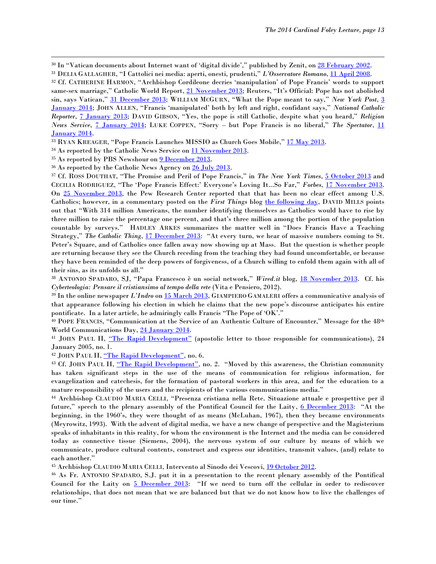<sup>30</sup> In "Vatican documents about Internet want of 'digital divide'," published by Zenit, on [28 February 2002.](http://www.zenit.org/en/articles/vatican-documents-about-internet-warn-of-digital-divide)

<sup>31</sup> DELIA GALLAGHER, "I Cattolici nei media: aperti, onesti, prudenti," *L'Osservatore Romano,* [11 April 2008.](http://www.vatican.va/news_services/or/or_quo/interviste/2008/085q08a1.html)

<sup>32</sup> Cf. CATHERINE HARMON, "Archbishop Cordileone decries 'manipulation' of Pope Francis' words to support same-sex marriage," Catholic World Report, [21 November 2013;](http://www.catholicworldreport.com/Blog/2727/archbishop_cordileone_decries_manipulation_of_pope_francis_words_to_support_samesex_marriage.aspx#.Uqofw_6x7cs) Reuters, "It's Official: Pope has not abolished sin, says Vatican," [31 December 2013;](http://www.reuters.com/article/2013/12/31/us-pope-sin-idUSBRE9BU07R20131231) WILLIAM MCGURN, "What the Pope meant to say," *New York Post*, [3](http://nypost.com/2014/01/03/what-the-pope-meant-to-say/)  [January 2014;](http://nypost.com/2014/01/03/what-the-pope-meant-to-say/) JOHN ALLEN, "Francis 'manipulated' both by left and right, confidant says," *National Catholic Reporter*, [7 January 2013;](http://ncronline.org/blogs/ncr-today/francis-manipulated-both-left-and-right-confidante-says) DAVID GIBSON, "Yes, the pope is still Catholic, despite what you heard," *Religion News Service*, [7 January 2014;](http://www.religionnews.com/2014/01/07/analysis-yes-pope-still-catholic-despite-heard/) LUKE COPPEN, "Sorry – but Pope Francis is no liberal," *The Spectator*, [11](http://www.spectator.co.uk/features/9112081/the-fantasy-francis/)  [January 2014.](http://www.spectator.co.uk/features/9112081/the-fantasy-francis/)

<sup>33</sup> RYAN KREAGER, "Pope Francis Launches MISSIO as Church Goes Mobile," [17 May 2013.](http://www.patheos.com/Catholic/Pope-Francis-Launches-MISSIO-Ryan-Kreager-05-17-2013.html)

<sup>34</sup> As reported by the Catholic News Service on [11 November 2013.](http://cnsblog.wordpress.com/2013/11/11/pope-francis-ranks-1-most-talked-about-name-on-the-net/)

<sup>35</sup> As reported by PBS Newshour on **9 December 2013.** 

 $\overline{\phantom{a}}$ 

<sup>36</sup> As reported by the Catholic News Agency on **26 July 2013**.

<sup>37</sup> Cf. ROSS DOUTHAT, "The Promise and Peril of Pope Francis," in *The New York Times*, [5 October 2013](http://www.nytimes.com/2013/10/06/opinion/sunday/douthat-the-promise-and-peril-of-pope-francis.html?_r=0) and CECILIA RODRIGUEZ, "The 'Pope Francis Effect:' Everyone's Loving It...So Far," *Forbes*, [17 November 2013.](http://www.forbes.com/sites/ceciliarodriguez/2013/11/17/the-pope-francis-effect-everyones-loving-it-so-far/) On [25 November 2013,](http://www.pewresearch.org/fact-tank/2013/11/25/no-clear-pope-francis-effect-among-u-s-catholics/) the Pew Research Center reported that that has been no clear effect among U.S. Catholics; however, in a commentary posted on the *First Things* blog [the following day,](http://www.firstthings.com/blogs/firstthoughts/2013/11/26/no-francis-effect-of-course-not/) DAVID MILLS points out that "With 314 million Americans, the number identifying themselves as Catholics would have to rise by three million to raise the percentage one percent, and that's three million among the portion of the population countable by surveys." HADLEY ARKES summarizes the matter well in "Does Francis Have a Teaching Strategy," *The Catholic Thing*, [17 December 2013](http://www.thecatholicthing.org/columns/2013/does-francis-have-a-teaching-strategy.html): "At every turn, we hear of massive numbers coming to St. Peter's Square, and of Catholics once fallen away now showing up at Mass. But the question is whether people are returning because they see the Church receding from the teaching they had found uncomfortable, or because they have been reminded of the deep powers of forgiveness, of a Church willing to enfold them again with all of their sins, as its unfolds us all."

<sup>38</sup> ANTONIO SPADARO, SJ, "Papa Francesco è un social network," *Wired.it* blog, [18 November 2013.](http://blog.wired.it/spadaro/2013/11/18/papa-francesco-e-un-social-network.html) Cf. his *Cyberteologia: Pensare il cristiansimo al tempo della rete* (Vita e Pensiero, 2012).

<sup>39</sup> In the online newspaper *L'Indro* on [15 March 2013,](http://www.lindro.it/societa/societa-news/societa-news-italia/2013-03-20/75429-francesco-il-papa-ok) GIAMPIERO GAMALERI offers a communicative analysis of that appearance following his election in which he claims that the new pope's discourse anticipates his entire pontificate. In a later article, he admiringly calls Francis "The Pope of 'OK'."

<sup>40</sup> POPE FRANCIS, "Communication at the Service of an Authentic Culture of Encounter," Message for the 48<sup>th</sup> World Communications Day[, 24 January 2014.](http://www.vatican.va/holy_father/francesco/messages/communications/documents/papa-francesco_20140124_messaggio-comunicazioni-sociali_en.html)

<sup>41</sup> JOHN PAUL II, <u>["The Rapid Development"](http://www.vatican.va/holy_father/john_paul_ii/apost_letters/documents/hf_jp-ii_apl_20050124_il-rapido-sviluppo_en.html)</u> (apostolic letter to those responsible for communications), 24 January 2005, no. 1.

<sup>42</sup> JOHN PAUL II, ["The Rapid Development"](http://www.vatican.va/holy_father/john_paul_ii/apost_letters/documents/hf_jp-ii_apl_20050124_il-rapido-sviluppo_en.html), no. 6.

<sup>43</sup> Cf. JOHN PAUL II, ["The Rapid Development"](http://www.vatican.va/holy_father/john_paul_ii/apost_letters/documents/hf_jp-ii_apl_20050124_il-rapido-sviluppo_en.html), no. 2. "Moved by this awareness, the Christian community has taken significant steps in the use of the means of communication for religious information, for evangelization and catechesis, for the formation of pastoral workers in this area, and for the education to a mature responsibility of the users and the recipients of the various communications media."

<sup>44</sup> Archbishop CLAUDIO MARIA CELLI, "Presenza cristiana nella Rete. Situazione attuale e prospettive per il future," speech to the plenary assembly of the Pontifical Council for the Laity, [6 December 2013](http://www.pccs.va/index.php/it/documenti/dicorsi/item/1972-presenza-cristiana-nella-rete-situazione-attuale-e-prospettive-per-il-futuro): "At the beginning, in the 1960's, they were thought of as means (McLuhan, 1967), then they became environments (Meyrowitz, 1993). With the advent of digital media, we have a new change of perspective and the Magisterium speaks of inhabitants in this reality, for whom the environment is the Internet and the media can be considered today as connective tissue (Siemens, 2004), the nervous system of our culture by means of which we communicate, produce cultural contents, construct and express our identities, transmit values, (and) relate to each another."

<sup>45</sup> Archbishop CLAUDIO MARIA CELLI, Intervento al Sinodo dei Vescovi, [19 October 2012.](http://www.pccs.va/index.php/it/news2/attualita/item/971-intervento-di-mons-claudio-m-celli-al-sinodo-dei-vescovi)

<sup>46</sup> As Fr. ANTONIO SPADARO, S.J. put it in a presentation to the recent plenary assembly of the Pontifical Council for the Laity on [5 December 2013](http://www.laici.va/content/laici/en/eventi/assemblee-plenarie/annunciare-cristo-nell-era-digitale.html): "If we need to turn off the cellular in order to rediscover relationships, that does not mean that we are balanced but that we do not know how to live the challenges of our time."